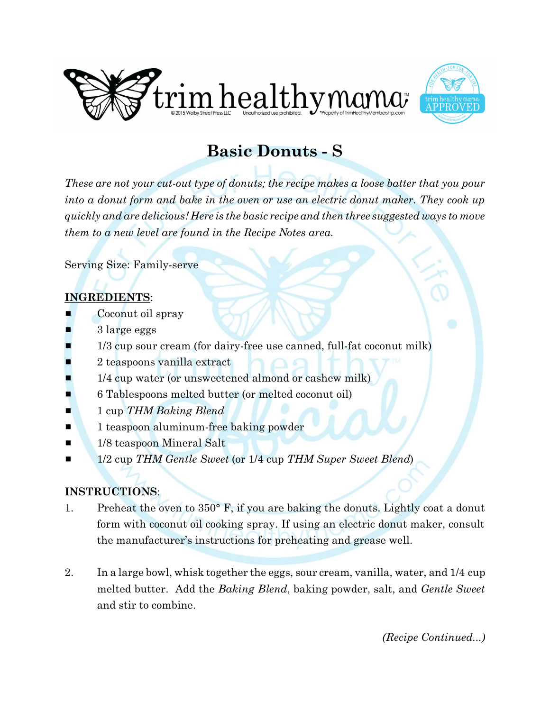



## **Basic Donuts - S**

*These are not your cut-out type of donuts; the recipe makes a loose batter that you pour into a donut form and bake in the oven or use an electric donut maker. They cook up quickly and are delicious! Here is the basic recipe and then three suggested ways to move them to a new level are found in the Recipe Notes area.* 

Serving Size: Family-serve

## **INGREDIENTS**:

- Coconut oil spray
- 3 large eggs
- 1/3 cup sour cream (for dairy-free use canned, full-fat coconut milk)
- 2 teaspoons vanilla extract
- 1/4 cup water (or unsweetened almond or cashew milk)
- 6 Tablespoons melted butter (or melted coconut oil)
- $\blacksquare$  1 cup *THM Baking Blend*
- $\blacksquare$  1 teaspoon aluminum-free baking powder
- **1/8 teaspoon Mineral Salt**
- 1/2 cup *THM Gentle Sweet* (or 1/4 cup *THM Super Sweet Blend*)

## **INSTRUCTIONS**:

- 1. Preheat the oven to 350° F, if you are baking the donuts. Lightly coat a donut form with coconut oil cooking spray. If using an electric donut maker, consult the manufacturer's instructions for preheating and grease well.
- 2. In a large bowl, whisk together the eggs, sour cream, vanilla, water, and 1/4 cup melted butter. Add the *Baking Blend*, baking powder, salt, and *Gentle Sweet* and stir to combine.

*(Recipe Continued...)*